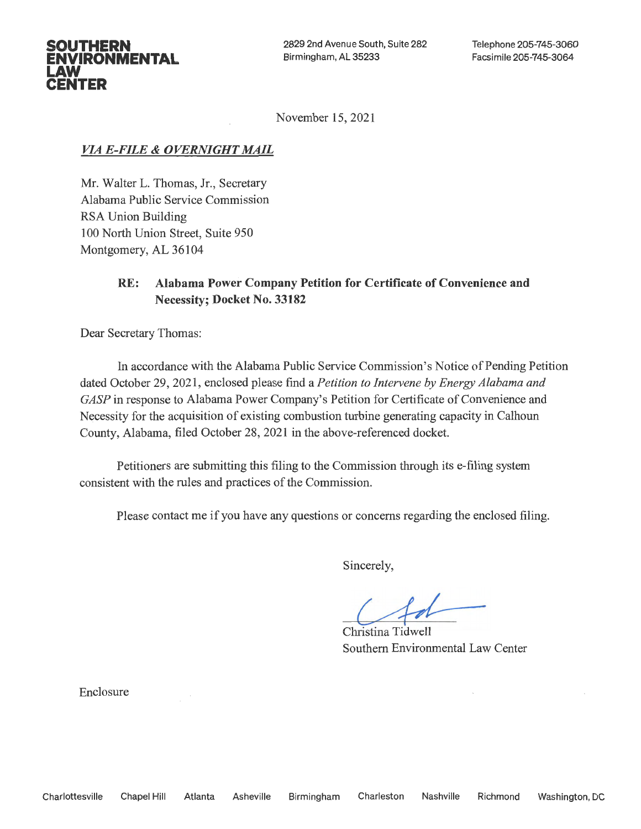2829 2nd Avenue South, Suite 282 Birmingham, AL 35233

November 15, 2021

## *VIA E-FILE* & *OVERNIGHT MAIL*

**SOUTHERN ENVIRONMENTAL** 

**LAW CENTER** 

> Mr. Walter L. Thomas, Jr., Secretary Alabama Public Service Commission RSA Union Building 100 North Union Street, Suite 950 Montgomery, AL 36104

# **RE: Alabama Power Company Petition for Certificate of Convenience and Necessity; Docket No. 33182**

Dear Secretary Thomas:

In accordance with the Alabama Public Service Commission's Notice of Pending Petition dated October 29, 2021, enclosed please find a *Petition to Intervene by Energy Alabama and GASP* in response to Alabama Power Company's Petition for Certificate of Convenience and Necessity for the acquisition of existing combustion turbine generating capacity in Calhoun County, Alabama, filed October 28, 2021 in the above-referenced docket.

Petitioners are submitting this filing to the Commission through its e-filing system consistent with the rules and practices of the Commission.

Please contact me if you have any questions or concerns regarding the enclosed filing.

Sincerely,

*c-4-,1:-* Christina Tidwell Southern Environmental Law Center

Enclosure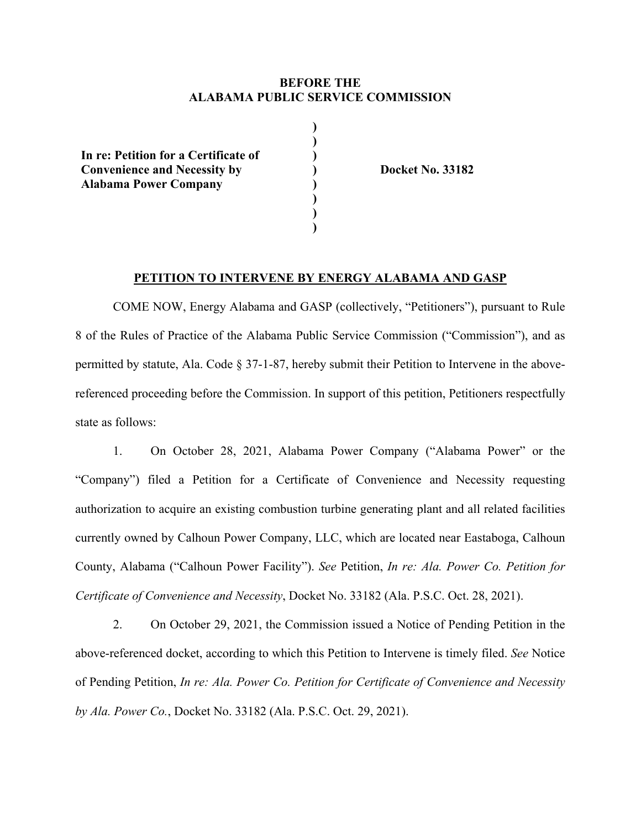### **BEFORE THE ALABAMA PUBLIC SERVICE COMMISSION**

**) ) ) ) ) ) ) )** 

**In re: Petition for a Certificate of Convenience and Necessity by Alabama Power Company** 

 **Docket No. 33182** 

#### **PETITION TO INTERVENE BY ENERGY ALABAMA AND GASP**

COME NOW, Energy Alabama and GASP (collectively, "Petitioners"), pursuant to Rule 8 of the Rules of Practice of the Alabama Public Service Commission ("Commission"), and as permitted by statute, Ala. Code § 37-1-87, hereby submit their Petition to Intervene in the abovereferenced proceeding before the Commission. In support of this petition, Petitioners respectfully state as follows:

1. On October 28, 2021, Alabama Power Company ("Alabama Power" or the "Company") filed a Petition for a Certificate of Convenience and Necessity requesting authorization to acquire an existing combustion turbine generating plant and all related facilities currently owned by Calhoun Power Company, LLC, which are located near Eastaboga, Calhoun County, Alabama ("Calhoun Power Facility"). *See* Petition, *In re: Ala. Power Co. Petition for Certificate of Convenience and Necessity*, Docket No. 33182 (Ala. P.S.C. Oct. 28, 2021).

2. On October 29, 2021, the Commission issued a Notice of Pending Petition in the above-referenced docket, according to which this Petition to Intervene is timely filed. *See* Notice of Pending Petition, *In re: Ala. Power Co. Petition for Certificate of Convenience and Necessity by Ala. Power Co.*, Docket No. 33182 (Ala. P.S.C. Oct. 29, 2021).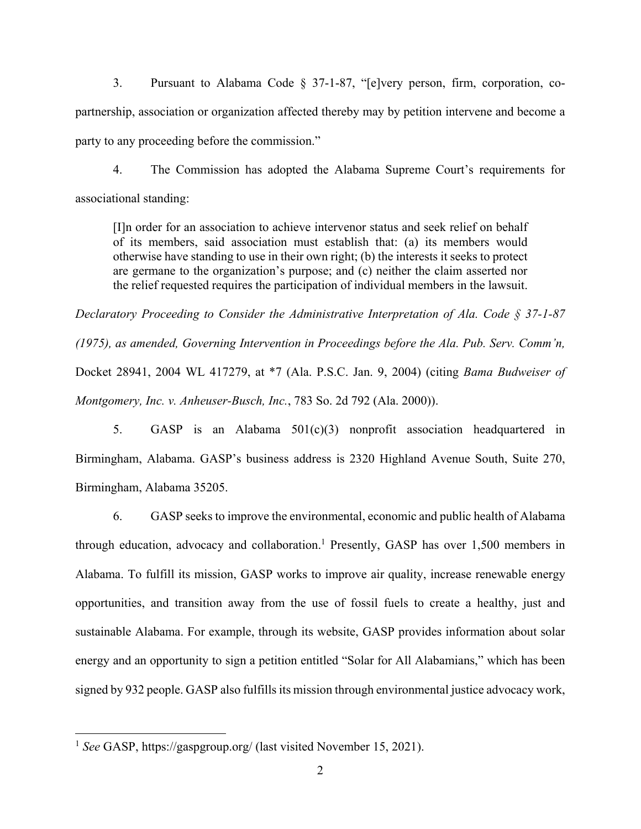3. Pursuant to Alabama Code § 37-1-87, "[e]very person, firm, corporation, copartnership, association or organization affected thereby may by petition intervene and become a party to any proceeding before the commission."

4. The Commission has adopted the Alabama Supreme Court's requirements for associational standing:

[I]n order for an association to achieve intervenor status and seek relief on behalf of its members, said association must establish that: (a) its members would otherwise have standing to use in their own right; (b) the interests it seeks to protect are germane to the organization's purpose; and (c) neither the claim asserted nor the relief requested requires the participation of individual members in the lawsuit.

*Declaratory Proceeding to Consider the Administrative Interpretation of Ala. Code § 37-1-87 (1975), as amended, Governing Intervention in Proceedings before the Ala. Pub. Serv. Comm'n,* Docket 28941, 2004 WL 417279, at \*7 (Ala. P.S.C. Jan. 9, 2004) (citing *Bama Budweiser of Montgomery, Inc. v. Anheuser-Busch, Inc.*, 783 So. 2d 792 (Ala. 2000)).

5. GASP is an Alabama 501(c)(3) nonprofit association headquartered in Birmingham, Alabama. GASP's business address is 2320 Highland Avenue South, Suite 270, Birmingham, Alabama 35205.

6. GASP seeks to improve the environmental, economic and public health of Alabama through education, advocacy and collaboration.<sup>1</sup> Presently, GASP has over 1,500 members in Alabama. To fulfill its mission, GASP works to improve air quality, increase renewable energy opportunities, and transition away from the use of fossil fuels to create a healthy, just and sustainable Alabama. For example, through its website, GASP provides information about solar energy and an opportunity to sign a petition entitled "Solar for All Alabamians," which has been signed by 932 people. GASP also fulfills its mission through environmental justice advocacy work,

<sup>1</sup> *See* GASP, https://gaspgroup.org/ (last visited November 15, 2021).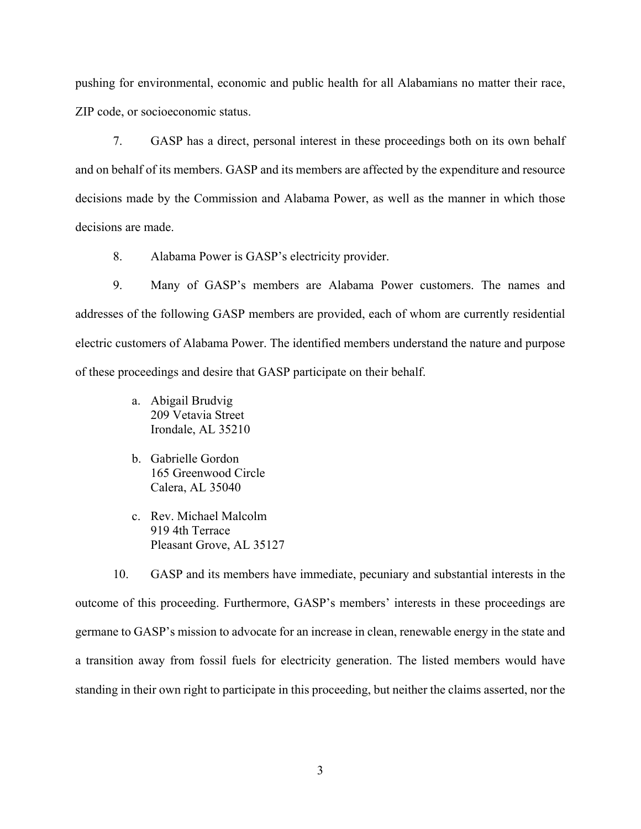pushing for environmental, economic and public health for all Alabamians no matter their race, ZIP code, or socioeconomic status.

7. GASP has a direct, personal interest in these proceedings both on its own behalf and on behalf of its members. GASP and its members are affected by the expenditure and resource decisions made by the Commission and Alabama Power, as well as the manner in which those decisions are made.

8. Alabama Power is GASP's electricity provider.

9. Many of GASP's members are Alabama Power customers. The names and addresses of the following GASP members are provided, each of whom are currently residential electric customers of Alabama Power. The identified members understand the nature and purpose of these proceedings and desire that GASP participate on their behalf.

- a. Abigail Brudvig 209 Vetavia Street Irondale, AL 35210
- b. Gabrielle Gordon 165 Greenwood Circle Calera, AL 35040
- c. Rev. Michael Malcolm 919 4th Terrace Pleasant Grove, AL 35127

10. GASP and its members have immediate, pecuniary and substantial interests in the outcome of this proceeding. Furthermore, GASP's members' interests in these proceedings are germane to GASP's mission to advocate for an increase in clean, renewable energy in the state and a transition away from fossil fuels for electricity generation. The listed members would have standing in their own right to participate in this proceeding, but neither the claims asserted, nor the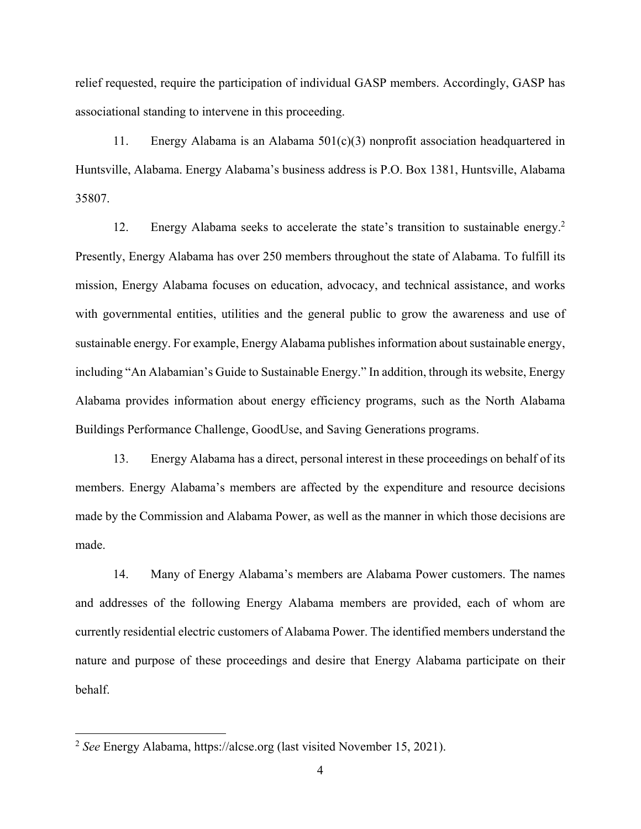relief requested, require the participation of individual GASP members. Accordingly, GASP has associational standing to intervene in this proceeding.

11. Energy Alabama is an Alabama 501(c)(3) nonprofit association headquartered in Huntsville, Alabama. Energy Alabama's business address is P.O. Box 1381, Huntsville, Alabama 35807.

12. Energy Alabama seeks to accelerate the state's transition to sustainable energy.<sup>2</sup> Presently, Energy Alabama has over 250 members throughout the state of Alabama. To fulfill its mission, Energy Alabama focuses on education, advocacy, and technical assistance, and works with governmental entities, utilities and the general public to grow the awareness and use of sustainable energy. For example, Energy Alabama publishes information about sustainable energy, including "An Alabamian's Guide to Sustainable Energy." In addition, through its website, Energy Alabama provides information about energy efficiency programs, such as the North Alabama Buildings Performance Challenge, GoodUse, and Saving Generations programs.

13. Energy Alabama has a direct, personal interest in these proceedings on behalf of its members. Energy Alabama's members are affected by the expenditure and resource decisions made by the Commission and Alabama Power, as well as the manner in which those decisions are made.

14. Many of Energy Alabama's members are Alabama Power customers. The names and addresses of the following Energy Alabama members are provided, each of whom are currently residential electric customers of Alabama Power. The identified members understand the nature and purpose of these proceedings and desire that Energy Alabama participate on their behalf.

<sup>2</sup> *See* Energy Alabama, https://alcse.org (last visited November 15, 2021).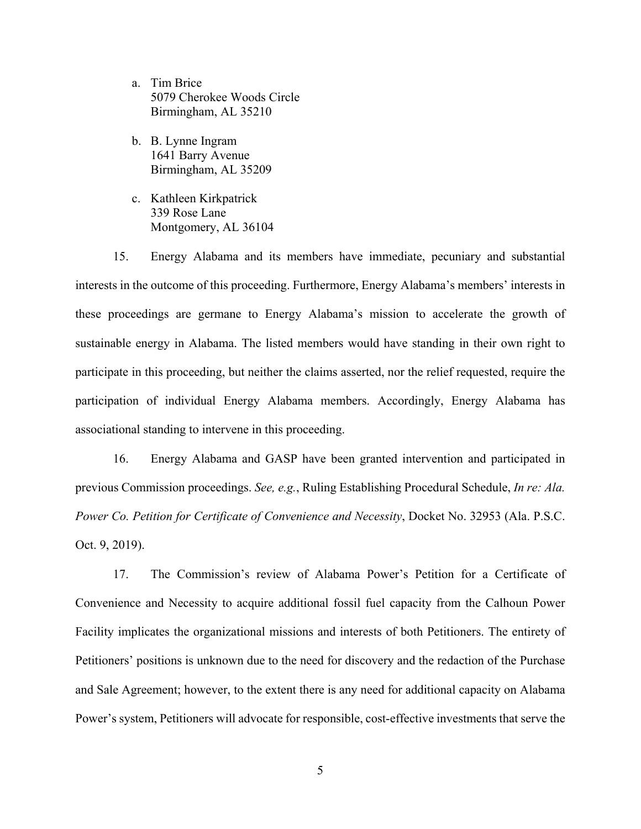- a. Tim Brice 5079 Cherokee Woods Circle Birmingham, AL 35210
- b. B. Lynne Ingram 1641 Barry Avenue Birmingham, AL 35209
- c. Kathleen Kirkpatrick 339 Rose Lane Montgomery, AL 36104

15. Energy Alabama and its members have immediate, pecuniary and substantial interests in the outcome of this proceeding. Furthermore, Energy Alabama's members' interests in these proceedings are germane to Energy Alabama's mission to accelerate the growth of sustainable energy in Alabama. The listed members would have standing in their own right to participate in this proceeding, but neither the claims asserted, nor the relief requested, require the participation of individual Energy Alabama members. Accordingly, Energy Alabama has associational standing to intervene in this proceeding.

16. Energy Alabama and GASP have been granted intervention and participated in previous Commission proceedings. *See, e.g.*, Ruling Establishing Procedural Schedule, *In re: Ala. Power Co. Petition for Certificate of Convenience and Necessity*, Docket No. 32953 (Ala. P.S.C. Oct. 9, 2019).

17. The Commission's review of Alabama Power's Petition for a Certificate of Convenience and Necessity to acquire additional fossil fuel capacity from the Calhoun Power Facility implicates the organizational missions and interests of both Petitioners. The entirety of Petitioners' positions is unknown due to the need for discovery and the redaction of the Purchase and Sale Agreement; however, to the extent there is any need for additional capacity on Alabama Power's system, Petitioners will advocate for responsible, cost-effective investments that serve the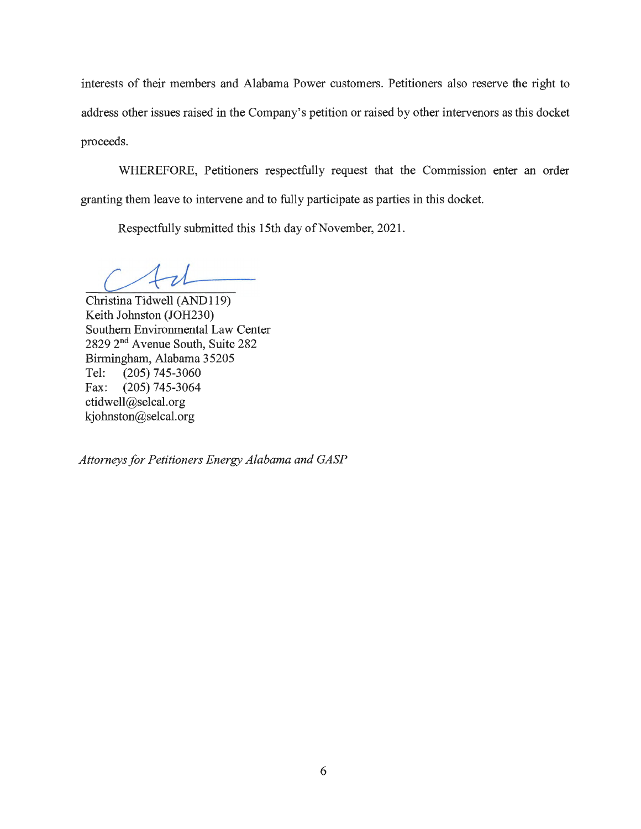interests of their members and Alabama Power customers. Petitioners also reserve the right to address other issues raised in the Company's petition or raised by other intervenors as this docket proceeds.

WHEREFORE, Petitioners respectfully request that the Commission enter an order granting them leave to intervene and to fully participate as parties in this docket.

Respectfully submitted this 15th day of November, 2021.

 $41$ 

Christina Tidwell (AND119) Keith Johnston (JOH230) Southern Environmental Law Center 2829 2nd A venue South, Suite 282 Birmingham, Alabama 35205 Tel: (205) 745-3060 Fax: (205) 745-3064 ctidwell@selcal.org kjohnston@selcal.org

*Attorneys for Petitioners Energy Alabama and GASP*